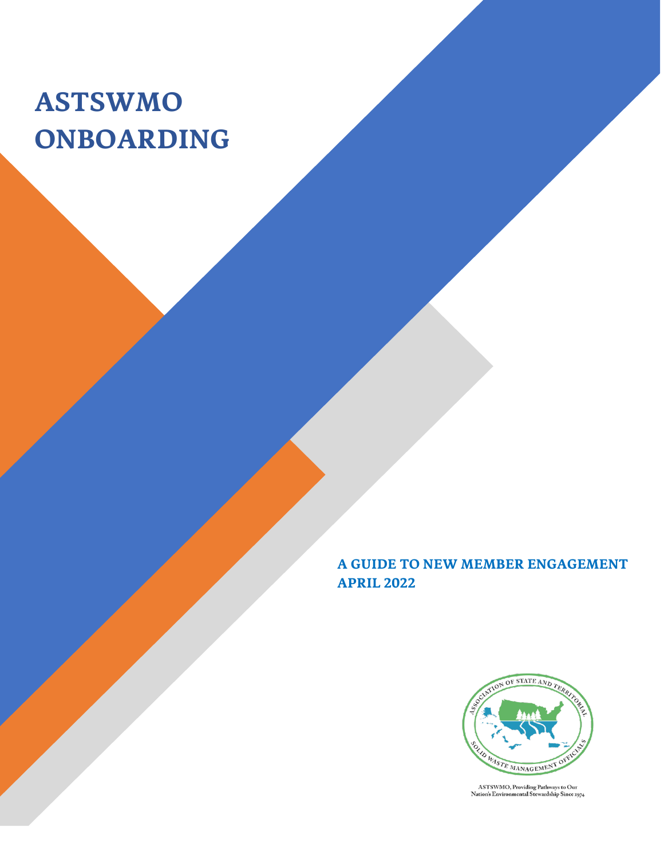## **ASTSWMO ONBOARDING**

**A GUIDE TO NEW MEMBER ENGAGEMENT APRIL 2022**



ASTSWMO, Providing Pathways to Our<br>Nation's Environmental Stewardship Since 1974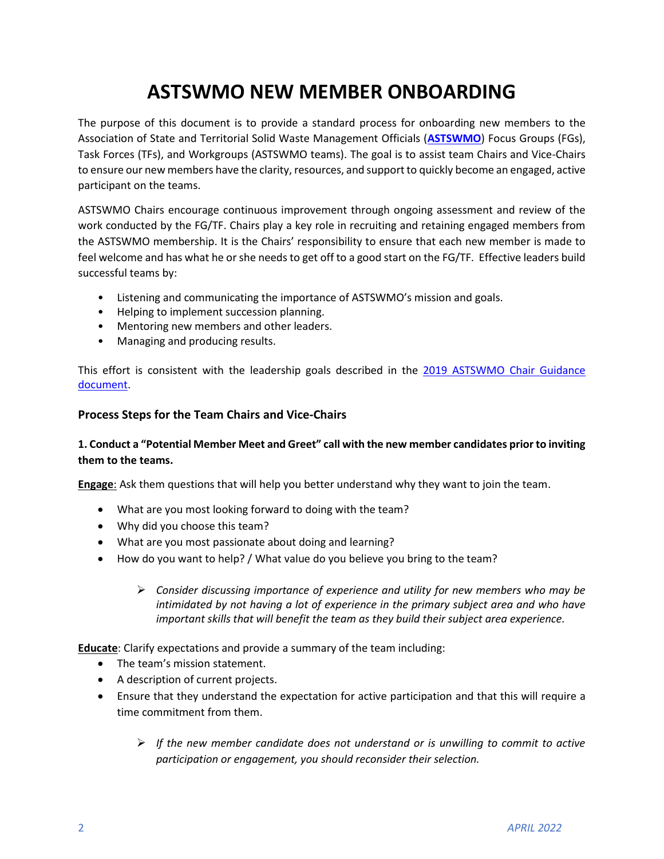### **ASTSWMO NEW MEMBER ONBOARDING**

The purpose of this document is to provide a standard process for onboarding new members to the Association of State and Territorial Solid Waste Management Officials (**[ASTSWMO](https://astswmo.org/)**) Focus Groups (FGs), Task Forces (TFs), and Workgroups (ASTSWMO teams). The goal is to assist team Chairs and Vice-Chairs to ensure our new members have the clarity, resources, and support to quickly become an engaged, active participant on the teams.

ASTSWMO Chairs encourage continuous improvement through ongoing assessment and review of the work conducted by the FG/TF. Chairs play a key role in recruiting and retaining engaged members from the ASTSWMO membership. It is the Chairs' responsibility to ensure that each new member is made to feel welcome and has what he or she needs to get off to a good start on the FG/TF. Effective leaders build successful teams by:

- Listening and communicating the importance of ASTSWMO's mission and goals.
- Helping to implement succession planning.
- Mentoring new members and other leaders.
- Managing and producing results.

This effort is consistent with the leadership goals described in the 2019 ASTSWMO Chair Guidance [document.](https://astswmo.org/files/policies/Final-Chairs-Primer-Sept-2019.pdf)

#### **Process Steps for the Team Chairs and Vice-Chairs**

#### **1. Conduct a "Potential Member Meet and Greet" call with the new member candidates prior to inviting them to the teams.**

**Engage**: Ask them questions that will help you better understand why they want to join the team.

- What are you most looking forward to doing with the team?
- Why did you choose this team?
- What are you most passionate about doing and learning?
- How do you want to help? / What value do you believe you bring to the team?
	- ➢ *Consider discussing importance of experience and utility for new members who may be intimidated by not having a lot of experience in the primary subject area and who have important skills that will benefit the team as they build their subject area experience.*

**Educate**: Clarify expectations and provide a summary of the team including:

- The team's mission statement.
- A description of current projects.
- Ensure that they understand the expectation for active participation and that this will require a time commitment from them.
	- ➢ *If the new member candidate does not understand or is unwilling to commit to active participation or engagement, you should reconsider their selection.*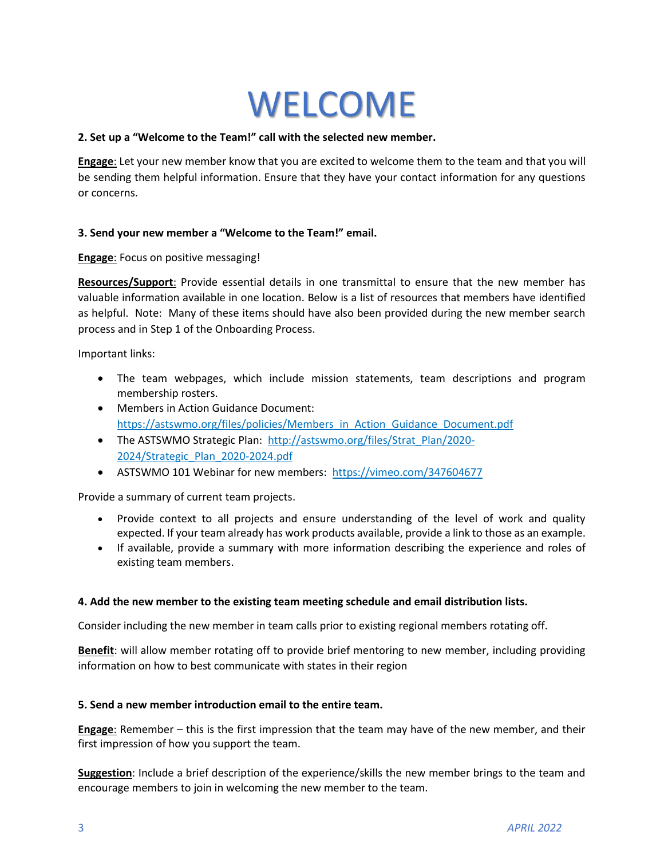# WELCOME

#### **2. Set up a "Welcome to the Team!" call with the selected new member.**

**Engage**: Let your new member know that you are excited to welcome them to the team and that you will be sending them helpful information. Ensure that they have your contact information for any questions or concerns.

#### **3. Send your new member a "Welcome to the Team!" email.**

**Engage**: Focus on positive messaging!

**Resources/Support**: Provide essential details in one transmittal to ensure that the new member has valuable information available in one location. Below is a list of resources that members have identified as helpful. Note: Many of these items should have also been provided during the new member search process and in Step 1 of the Onboarding Process.

Important links:

- The team webpages, which include mission statements, team descriptions and program membership rosters.
- Members in Action Guidance Document: [https://astswmo.org/files/policies/Members\\_in\\_Action\\_Guidance\\_Document.pdf](https://astswmo.org/files/policies/Members_in_Action_Guidance_Document.pdf)
- The ASTSWMO Strategic Plan: [http://astswmo.org/files/Strat\\_Plan/2020-](http://astswmo.org/files/Strat_Plan/2020-2024/Strategic_Plan_2020-2024.pdf) [2024/Strategic\\_Plan\\_2020-2024.pdf](http://astswmo.org/files/Strat_Plan/2020-2024/Strategic_Plan_2020-2024.pdf)
- ASTSWMO 101 Webinar for new members: <https://vimeo.com/347604677>

Provide a summary of current team projects.

- Provide context to all projects and ensure understanding of the level of work and quality expected. If your team already has work products available, provide a link to those as an example.
- If available, provide a summary with more information describing the experience and roles of existing team members.

#### **4. Add the new member to the existing team meeting schedule and email distribution lists.**

Consider including the new member in team calls prior to existing regional members rotating off.

**Benefit**: will allow member rotating off to provide brief mentoring to new member, including providing information on how to best communicate with states in their region

#### **5. Send a new member introduction email to the entire team.**

**Engage**: Remember – this is the first impression that the team may have of the new member, and their first impression of how you support the team.

**Suggestion**: Include a brief description of the experience/skills the new member brings to the team and encourage members to join in welcoming the new member to the team.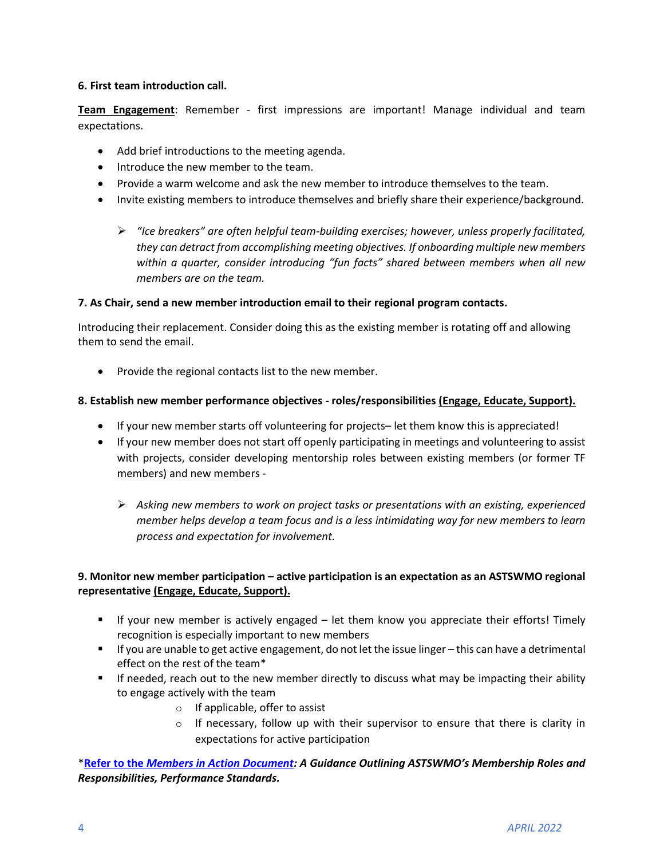#### **6. First team introduction call.**

**Team Engagement**: Remember - first impressions are important! Manage individual and team expectations.

- Add brief introductions to the meeting agenda.
- Introduce the new member to the team.
- Provide a warm welcome and ask the new member to introduce themselves to the team.
- Invite existing members to introduce themselves and briefly share their experience/background.
	- ➢ *"Ice breakers" are often helpful team-building exercises; however, unless properly facilitated, they can detract from accomplishing meeting objectives. If onboarding multiple new members within a quarter, consider introducing "fun facts" shared between members when all new members are on the team.*

#### **7. As Chair, send a new member introduction email to their regional program contacts.**

Introducing their replacement. Consider doing this as the existing member is rotating off and allowing them to send the email.

• Provide the regional contacts list to the new member.

#### **8. Establish new member performance objectives - roles/responsibilities (Engage, Educate, Support).**

- If your new member starts off volunteering for projects– let them know this is appreciated!
- If your new member does not start off openly participating in meetings and volunteering to assist with projects, consider developing mentorship roles between existing members (or former TF members) and new members -
	- ➢ *Asking new members to work on project tasks or presentations with an existing, experienced member helps develop a team focus and is a less intimidating way for new members to learn process and expectation for involvement.*

#### **9. Monitor new member participation – active participation is an expectation as an ASTSWMO regional representative (Engage, Educate, Support).**

- If your new member is actively engaged let them know you appreciate their efforts! Timely recognition is especially important to new members
- If you are unable to get active engagement, do not let the issue linger this can have a detrimental effect on the rest of the team\*
- **■** If needed, reach out to the new member directly to discuss what may be impacting their ability to engage actively with the team
	- o If applicable, offer to assist
	- $\circ$  If necessary, follow up with their supervisor to ensure that there is clarity in expectations for active participation

\***Refer to the** *[Members in Action Document](https://astswmo.org/files/policies/Members_in_Action_Guidance_Document.pdf): A Guidance Outlining ASTSWMO's Membership Roles and Responsibilities, Performance Standards.*